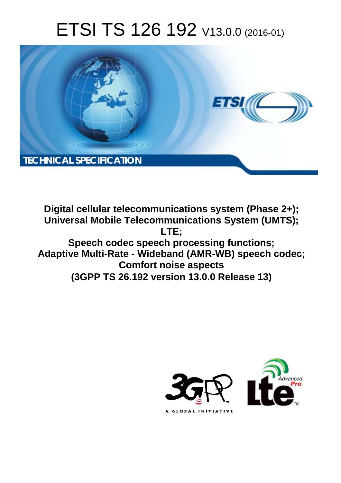# ETSI TS 126 192 V13.0.0 (2016-01)



**Digital cellular telecommunications system (Phase 2+); Universal Mobile Tel elecommunications System ( (UMTS); Speech codec speech processing functions; Adaptive Multi-Rate - Wideband (AMR-WB) speec ech codec; Com omfort noise aspects (3GPP TS 26.1 .192 version 13.0.0 Release 13 13) LTE;** 

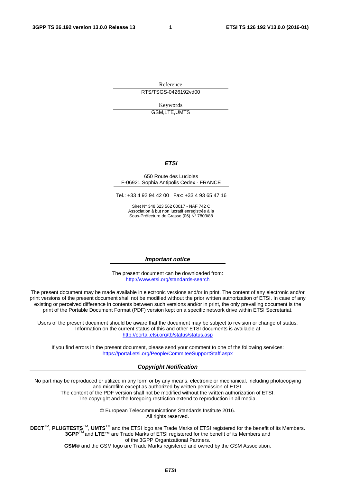Reference RTS/TSGS-0426192vd00

> Keywords GSM,LTE,UMTS

#### *ETSI*

#### 650 Route des Lucioles F-06921 Sophia Antipolis Cedex - FRANCE

Tel.: +33 4 92 94 42 00 Fax: +33 4 93 65 47 16

Siret N° 348 623 562 00017 - NAF 742 C Association à but non lucratif enregistrée à la Sous-Préfecture de Grasse (06) N° 7803/88

#### *Important notice*

The present document can be downloaded from: <http://www.etsi.org/standards-search>

The present document may be made available in electronic versions and/or in print. The content of any electronic and/or print versions of the present document shall not be modified without the prior written authorization of ETSI. In case of any existing or perceived difference in contents between such versions and/or in print, the only prevailing document is the print of the Portable Document Format (PDF) version kept on a specific network drive within ETSI Secretariat.

Users of the present document should be aware that the document may be subject to revision or change of status. Information on the current status of this and other ETSI documents is available at <http://portal.etsi.org/tb/status/status.asp>

If you find errors in the present document, please send your comment to one of the following services: <https://portal.etsi.org/People/CommiteeSupportStaff.aspx>

#### *Copyright Notification*

No part may be reproduced or utilized in any form or by any means, electronic or mechanical, including photocopying and microfilm except as authorized by written permission of ETSI.

The content of the PDF version shall not be modified without the written authorization of ETSI. The copyright and the foregoing restriction extend to reproduction in all media.

> © European Telecommunications Standards Institute 2016. All rights reserved.

**DECT**TM, **PLUGTESTS**TM, **UMTS**TM and the ETSI logo are Trade Marks of ETSI registered for the benefit of its Members. **3GPP**TM and **LTE**™ are Trade Marks of ETSI registered for the benefit of its Members and of the 3GPP Organizational Partners.

**GSM**® and the GSM logo are Trade Marks registered and owned by the GSM Association.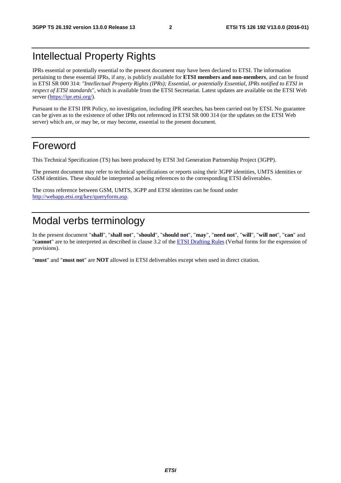# Intellectual Property Rights

IPRs essential or potentially essential to the present document may have been declared to ETSI. The information pertaining to these essential IPRs, if any, is publicly available for **ETSI members and non-members**, and can be found in ETSI SR 000 314: *"Intellectual Property Rights (IPRs); Essential, or potentially Essential, IPRs notified to ETSI in respect of ETSI standards"*, which is available from the ETSI Secretariat. Latest updates are available on the ETSI Web server [\(https://ipr.etsi.org/](https://ipr.etsi.org/)).

Pursuant to the ETSI IPR Policy, no investigation, including IPR searches, has been carried out by ETSI. No guarantee can be given as to the existence of other IPRs not referenced in ETSI SR 000 314 (or the updates on the ETSI Web server) which are, or may be, or may become, essential to the present document.

### Foreword

This Technical Specification (TS) has been produced by ETSI 3rd Generation Partnership Project (3GPP).

The present document may refer to technical specifications or reports using their 3GPP identities, UMTS identities or GSM identities. These should be interpreted as being references to the corresponding ETSI deliverables.

The cross reference between GSM, UMTS, 3GPP and ETSI identities can be found under [http://webapp.etsi.org/key/queryform.asp.](http://webapp.etsi.org/key/queryform.asp)

# Modal verbs terminology

In the present document "**shall**", "**shall not**", "**should**", "**should not**", "**may**", "**need not**", "**will**", "**will not**", "**can**" and "**cannot**" are to be interpreted as described in clause 3.2 of the [ETSI Drafting Rules](http://portal.etsi.org/Help/editHelp!/Howtostart/ETSIDraftingRules.aspx) (Verbal forms for the expression of provisions).

"**must**" and "**must not**" are **NOT** allowed in ETSI deliverables except when used in direct citation.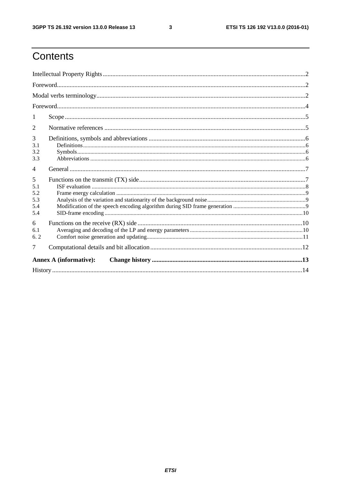$\mathbf{3}$ 

# Contents

| 1                                    |  |  |  |  |  |  |
|--------------------------------------|--|--|--|--|--|--|
| 2                                    |  |  |  |  |  |  |
| 3<br>3.1<br>3.2<br>3.3               |  |  |  |  |  |  |
| $\overline{4}$                       |  |  |  |  |  |  |
| 5<br>5.1<br>5.2<br>5.3<br>5.4<br>5.4 |  |  |  |  |  |  |
| 6<br>6.1<br>6.2                      |  |  |  |  |  |  |
| 7                                    |  |  |  |  |  |  |
| <b>Annex A (informative):</b>        |  |  |  |  |  |  |
|                                      |  |  |  |  |  |  |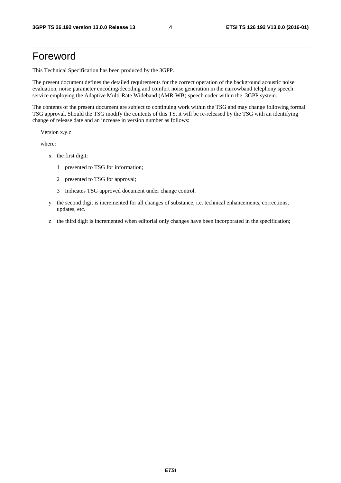### Foreword

This Technical Specification has been produced by the 3GPP.

The present document defines the detailed requirements for the correct operation of the background acoustic noise evaluation, noise parameter encoding/decoding and comfort noise generation in the narrowband telephony speech service employing the Adaptive Multi-Rate Wideband (AMR-WB) speech coder within the 3GPP system.

The contents of the present document are subject to continuing work within the TSG and may change following formal TSG approval. Should the TSG modify the contents of this TS, it will be re-released by the TSG with an identifying change of release date and an increase in version number as follows:

Version x.y.z

where:

- x the first digit:
	- 1 presented to TSG for information;
	- 2 presented to TSG for approval;
	- 3 Indicates TSG approved document under change control.
- y the second digit is incremented for all changes of substance, i.e. technical enhancements, corrections, updates, etc.
- z the third digit is incremented when editorial only changes have been incorporated in the specification;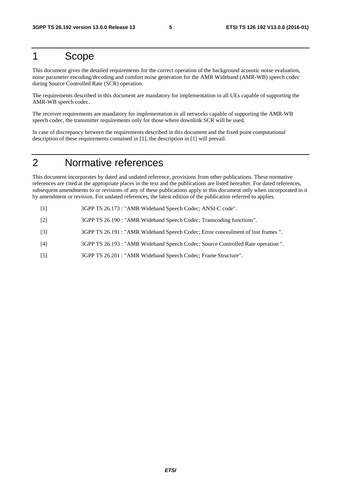### 1 Scope

This document gives the detailed requirements for the correct operation of the background acoustic noise evaluation, noise parameter encoding/decoding and comfort noise generation for the AMR Wideband (AMR-WB) speech codec during Source Controlled Rate (SCR) operation.

The requirements described in this document are mandatory for implementation in all UEs capable of supporting the AMR-WB speech codec.

The receiver requirements are mandatory for implementation in all networks capable of supporting the AMR-WB speech codec, the transmitter requirements only for those where downlink SCR will be used.

In case of discrepancy between the requirements described in this document and the fixed point computational description of these requirements contained in [1], the description in [1] will prevail.

# 2 Normative references

This document incorporates by dated and undated reference, provisions from other publications. These normative references are cited at the appropriate places in the text and the publications are listed hereafter. For dated references, subsequent amendments to or revisions of any of these publications apply to this document only when incorporated in it by amendment or revision. For undated references, the latest edition of the publication referred to applies.

- [1] 3GPP TS 26.173 : "AMR Wideband Speech Codec; ANSI-C code".
- [2] 3GPP TS 26.190 : "AMR Wideband Speech Codec; Transcoding functions".
- [3] 3GPP TS 26.191 : "AMR Wideband Speech Codec; Error concealment of lost frames ".
- [4] 3GPP TS 26.193 : "AMR Wideband Speech Codec; Source Controlled Rate operation ".
- [5] 3GPP TS 26.201 : "AMR Wideband Speech Codec; Frame Structure".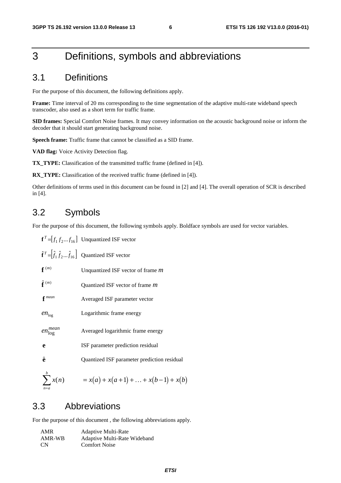# 3 Definitions, symbols and abbreviations

#### 3.1 Definitions

For the purpose of this document, the following definitions apply.

**Frame:** Time interval of 20 ms corresponding to the time segmentation of the adaptive multi-rate wideband speech transcoder, also used as a short term for traffic frame.

**SID frames:** Special Comfort Noise frames. It may convey information on the acoustic background noise or inform the decoder that it should start generating background noise.

**Speech frame:** Traffic frame that cannot be classified as a SID frame.

**VAD flag:** Voice Activity Detection flag.

**TX\_TYPE:** Classification of the transmitted traffic frame (defined in [4]).

**RX\_TYPE:** Classification of the received traffic frame (defined in [4]).

Other definitions of terms used in this document can be found in [2] and [4]. The overall operation of SCR is described in [4].

### 3.2 Symbols

For the purpose of this document, the following symbols apply. Boldface symbols are used for vector variables.

|                          | $\mathbf{f}^T = [f_1 f_2  f_{16}]$ Unquantized ISF vector                       |
|--------------------------|---------------------------------------------------------------------------------|
|                          | $\hat{\mathbf{f}}^T = [\hat{f}_1 \hat{f}_2  \hat{f}_{16}]$ Quantized ISF vector |
| $f^{(m)}$                | Unquantized ISF vector of frame <i>m</i>                                        |
| $\hat{\mathbf{f}}^{(m)}$ | Quantized ISF vector of frame m                                                 |
| $f^{mean}$               | Averaged ISF parameter vector                                                   |
| $en_{\log}$              | Logarithmic frame energy                                                        |
| $en_{\log}^{mean}$       | Averaged logarithmic frame energy                                               |
| e                        | ISF parameter prediction residual                                               |
| ê                        | Quantized ISF parameter prediction residual                                     |
| $\sum x(n)$<br>$n=a$     | $= x(a) + x(a+1) +  + x(b-1) + x(b)$                                            |

#### 3.3 Abbreviations

For the purpose of this document , the following abbreviations apply.

| AMR       | <b>Adaptive Multi-Rate</b>   |
|-----------|------------------------------|
| AMR-WB    | Adaptive Multi-Rate Wideband |
| <b>CN</b> | <b>Comfort Noise</b>         |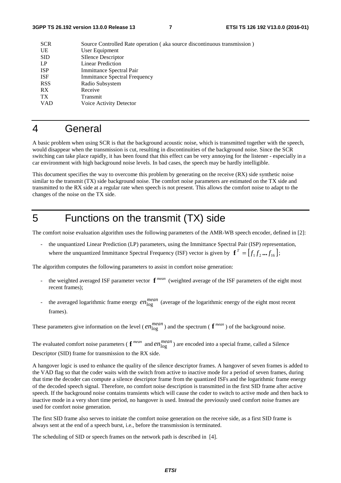| <b>SCR</b>      | Source Controlled Rate operation (aka source discontinuous transmission) |
|-----------------|--------------------------------------------------------------------------|
| UE              | User Equipment                                                           |
| <b>SID</b>      | <b>SIlence Descriptor</b>                                                |
| LP              | <b>Linear Prediction</b>                                                 |
| <b>ISP</b>      | Immittance Spectral Pair                                                 |
| <b>ISF</b>      | <b>Immittance Spectral Frequency</b>                                     |
| <b>RSS</b>      | Radio Subsystem                                                          |
| RX.             | Receive                                                                  |
| TX <sup>-</sup> | Transmit                                                                 |
| VAD             | Voice Activity Detector                                                  |
|                 |                                                                          |

#### 4 General

A basic problem when using SCR is that the background acoustic noise, which is transmitted together with the speech, would disappear when the transmission is cut, resulting in discontinuities of the background noise. Since the SCR switching can take place rapidly, it has been found that this effect can be very annoying for the listener - especially in a car environment with high background noise levels. In bad cases, the speech may be hardly intelligible.

This document specifies the way to overcome this problem by generating on the receive (RX) side synthetic noise similar to the transmit (TX) side background noise. The comfort noise parameters are estimated on the TX side and transmitted to the RX side at a regular rate when speech is not present. This allows the comfort noise to adapt to the changes of the noise on the TX side.

# 5 Functions on the transmit (TX) side

The comfort noise evaluation algorithm uses the following parameters of the AMR-WB speech encoder, defined in [2]:

the unquantized Linear Prediction (LP) parameters, using the Immittance Spectral Pair (ISP) representation, where the unquantized Immittance Spectral Frequency (ISF) vector is given by  $\mathbf{f}^T = [f_1 f_2 \dots f_{16}]$ ;

The algorithm computes the following parameters to assist in comfort noise generation:

- the weighted averaged ISF parameter vector  $f^{mean}$  (weighted average of the ISF parameters of the eight most recent frames);
- the averaged logarithmic frame energy  $en_{\text{log}}^{mean}$  (average of the logarithmic energy of the eight most recent frames).

These parameters give information on the level ( $en_{log}^{mean}$ ) and the spectrum ( $\mathbf{f}^{mean}$ ) of the background noise.

The evaluated comfort noise parameters ( $f^{mean}$  and  $en^{mean}_{log}$ ) are encoded into a special frame, called a Silence Descriptor (SID) frame for transmission to the RX side.

A hangover logic is used to enhance the quality of the silence descriptor frames. A hangover of seven frames is added to the VAD flag so that the coder waits with the switch from active to inactive mode for a period of seven frames, during that time the decoder can compute a silence descriptor frame from the quantized ISFs and the logarithmic frame energy of the decoded speech signal. Therefore, no comfort noise description is transmitted in the first SID frame after active speech. If the background noise contains transients which will cause the coder to switch to active mode and then back to inactive mode in a very short time period, no hangover is used. Instead the previously used comfort noise frames are used for comfort noise generation.

The first SID frame also serves to initiate the comfort noise generation on the receive side, as a first SID frame is always sent at the end of a speech burst, i.e., before the transmission is terminated.

The scheduling of SID or speech frames on the network path is described in [4].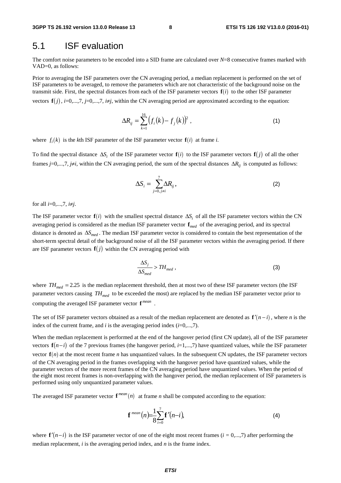#### 5.1 ISF evaluation

The comfort noise parameters to be encoded into a SID frame are calculated over *N*=8 consecutive frames marked with VAD=0, as follows:

Prior to averaging the ISF parameters over the CN averaging period, a median replacement is performed on the set of ISF parameters to be averaged, to remove the parameters which are not characteristic of the background noise on the transmit side. First, the spectral distances from each of the ISF parameter vectors  $f(i)$  to the other ISF parameter vectors  $\mathbf{f}(i)$ , *i*=0,...,7, *j*=0,...,7, *i*≠*j*, within the CN averaging period are approximated according to the equation:

$$
\Delta R_{ij} = \sum_{k=1}^{16} \left( f_i(k) - f_j(k) \right)^2 , \qquad (1)
$$

where  $f_i(k)$  is the *k*th ISF parameter of the ISF parameter vector  $f(i)$  at frame *i*.

To find the spectral distance  $\Delta S_i$  of the ISF parameter vector  $f(i)$  to the ISF parameter vectors  $f(j)$  of all the other frames  $j=0,...,7$ ,  $j\neq i$ , within the CN averaging period, the sum of the spectral distances  $\Delta R_{ij}$  is computed as follows:

$$
\Delta S_i = \sum_{j=0, j \neq i}^{7} \Delta R_{ij}, \qquad (2)
$$

for all *i*=0,...,7, *i*≠*j*.

The ISF parameter vector  $f(i)$  with the smallest spectral distance  $\Delta S_i$  of all the ISF parameter vectors within the CN averaging period is considered as the median ISF parameter vector  $f_{med}$  of the averaging period, and its spectral distance is denoted as Δ*Smed* . The median ISF parameter vector is considered to contain the best representation of the short-term spectral detail of the background noise of all the ISF parameter vectors within the averaging period. If there are ISF parameter vectors  $f(j)$  within the CN averaging period with

$$
\frac{\Delta S_j}{\Delta S_{med}} > TH_{med} \,, \tag{3}
$$

where  $TH_{med} = 2.25$  is the median replacement threshold, then at most two of these ISF parameter vectors (the ISF parameter vectors causing  $TH_{mod}$  to be exceeded the most) are replaced by the median ISF parameter vector prior to computing the averaged ISF parameter vector **f** *mean* .

The set of ISF parameter vectors obtained as a result of the median replacement are denoted as  $f'(n-i)$ , where *n* is the index of the current frame, and  $i$  is the averaging period index  $(i=0,...,7)$ .

When the median replacement is performed at the end of the hangover period (first CN update), all of the ISF parameter vectors  $f(n-i)$  of the 7 previous frames (the hangover period, *i*=1,...,7) have quantized values, while the ISF parameter vector  $f(n)$  at the most recent frame *n* has unquantized values. In the subsequent CN updates, the ISF parameter vectors of the CN averaging period in the frames overlapping with the hangover period have quantized values, while the parameter vectors of the more recent frames of the CN averaging period have unquantized values. When the period of the eight most recent frames is non-overlapping with the hangover period, the median replacement of ISF parameters is performed using only unquantized parameter values.

The averaged ISF parameter vector  $f^{mean}(n)$  at frame *n* shall be computed according to the equation:

$$
\mathbf{f}^{\text{mean}}(n) = \frac{1}{8} \sum_{i=0}^{7} \mathbf{f}'(n-i),\tag{4}
$$

where  $f'(n-i)$  is the ISF parameter vector of one of the eight most recent frames ( $i = 0,...,7$ ) after performing the median replacement, *i* is the averaging period index, and *n* is the frame index.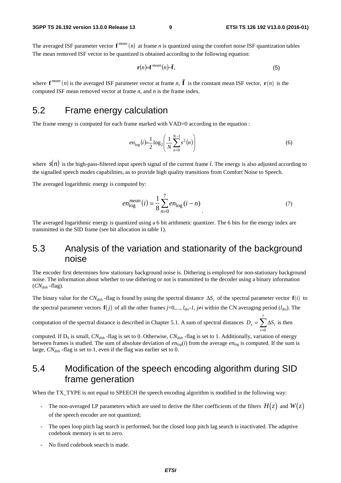The averaged ISF parameter vector  $f^{mean}(n)$  at frame *n* is quantized using the comfort noise ISF quantization tables The mean removed ISF vector to be quantized is obtained according to the following equation:

$$
\mathbf{r}(n) = \mathbf{f}^{mean}(n) - \bar{\mathbf{f}},\tag{5}
$$

where  $f^{mean}(n)$  is the averaged ISF parameter vector at frame *n*,  $\overline{f}$  is the constant mean ISF vector,  $\mathbf{r}(n)$  is the computed ISF mean removed vector at frame *n*, and *n* is the frame index.

#### 5.2 Frame energy calculation

The frame energy is computed for each frame marked with VAD=0 according to the equation :

$$
e n_{\log}(i) = \frac{1}{2} \log_2 \left( \frac{1}{N} \sum_{n=0}^{N-1} s^2(n) \right)
$$
 (6)

where  $s(n)$  is the high-pass-filtered input speech signal of the current frame *i*. The energy is also adjusted according to the signalled speech modes capabilities, as to provide high quality transitions from Comfort Noise to Speech.

The averaged logarithmic energy is computed by:

$$
en_{\log}^{mean}(i) = \frac{1}{8} \sum_{n=0}^{7} en_{\log}(i - n)
$$
\n(7)

The averaged logarithmic energy is quantized using a 6 bit arithmetic quantizer. The 6 bits for the energy index are transmitted in the SID frame (see bit allocation in table 1).

#### 5.3 Analysis of the variation and stationarity of the background noise

The encoder first determines how stationary background noise is. Dithering is employed for non-stationary background noise. The information about whether to use dithering or not is transmitted to the decoder using a binary information  $(CN_{dith}$  -flag).

The binary value for the  $CN_{dith}$  -flag is found by using the spectral distance  $\Delta S_i$  of the spectral parameter vector  $f(i)$  to the spectral parameter vectors  $f(j)$  of all the other frames *j*=0,...,  $l_{dx}$ -1, *j*≠*i* within the CN averaging period ( $l_{dx}$ ). The

computation of the spectral distance is described in Chapter 5.1. A sum of spectral distances  $D_s = \sum \Delta$ = 7  $i = 0$  $D_s = \sum \Delta S_i$  is then

computed. If D<sub>S</sub> is small,  $CN_{dith}$  -flag is set to 0. Otherwise,  $CN_{dith}$  -flag is set to 1. Additionally, variation of energy between frames is studied. The sum of absolute deviation of  $en_{log}(i)$  from the average  $en_{log}$  is computed. If the sum is large,  $CN<sub>dith</sub>$  -flag is set to 1, even if the flag was earlier set to 0.

### 5.4 Modification of the speech encoding algorithm during SID frame generation

When the TX\_TYPE is not equal to SPEECH the speech encoding algorithm is modified in the following way:

- The non-averaged LP parameters which are used to derive the filter coefficients of the filters  $H(z)$  and  $W(z)$ of the speech encoder are not quantized;
- The open loop pitch lag search is performed, but the closed loop pitch lag search is inactivated. The adaptive codebook memory is set to zero.
- No fixed codebook search is made.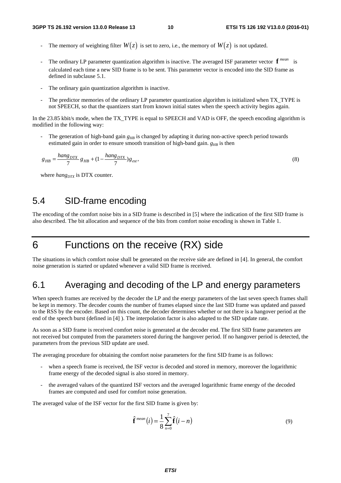- The memory of weighting filter  $W(z)$  is set to zero, i.e., the memory of  $W(z)$  is not updated.
- The ordinary LP parameter quantization algorithm is inactive. The averaged ISF parameter vector  $f^{mean}$  is calculated each time a new SID frame is to be sent. This parameter vector is encoded into the SID frame as defined in subclause 5.1.
- The ordinary gain quantization algorithm is inactive.
- The predictor memories of the ordinary LP parameter quantization algorithm is initialized when TX\_TYPE is not SPEECH, so that the quantizers start from known initial states when the speech activity begins again.

In the 23.85 kbit/s mode, when the TX TYPE is equal to SPEECH and VAD is OFF, the speech encoding algorithm is modified in the following way:

The generation of high-band gain  $g_{HR}$  is changed by adapting it during non-active speech period towards estimated gain in order to ensure smooth transition of high-band gain.  $g_{\mu}$  is then

$$
g_{HB} = \frac{hang_{DTX}}{7} g_{HB} + (1 - \frac{hang_{DTX}}{7}) g_{est},\tag{8}
$$

where *hang<sub>DTX</sub>* is DTX counter.

#### 5.4 SID-frame encoding

The encoding of the comfort noise bits in a SID frame is described in [5] where the indication of the first SID frame is also described. The bit allocation and sequence of the bits from comfort noise encoding is shown in Table 1.

### 6 Functions on the receive (RX) side

The situations in which comfort noise shall be generated on the receive side are defined in [4]. In general, the comfort noise generation is started or updated whenever a valid SID frame is received.

### 6.1 Averaging and decoding of the LP and energy parameters

When speech frames are received by the decoder the LP and the energy parameters of the last seven speech frames shall be kept in memory. The decoder counts the number of frames elapsed since the last SID frame was updated and passed to the RSS by the encoder. Based on this count, the decoder determines whether or not there is a hangover period at the end of the speech burst (defined in [4] ). The interpolation factor is also adapted to the SID update rate.

As soon as a SID frame is received comfort noise is generated at the decoder end. The first SID frame parameters are not received but computed from the parameters stored during the hangover period. If no hangover period is detected, the parameters from the previous SID update are used.

The averaging procedure for obtaining the comfort noise parameters for the first SID frame is as follows:

- when a speech frame is received, the ISF vector is decoded and stored in memory, moreover the logarithmic frame energy of the decoded signal is also stored in memory.
- the averaged values of the quantized ISF vectors and the averaged logarithmic frame energy of the decoded frames are computed and used for comfort noise generation.

The averaged value of the ISF vector for the first SID frame is given by:

$$
\hat{\mathbf{f}}^{mean}(i) = \frac{1}{8} \sum_{n=0}^{7} \hat{\mathbf{f}}(i - n)
$$
\n(9)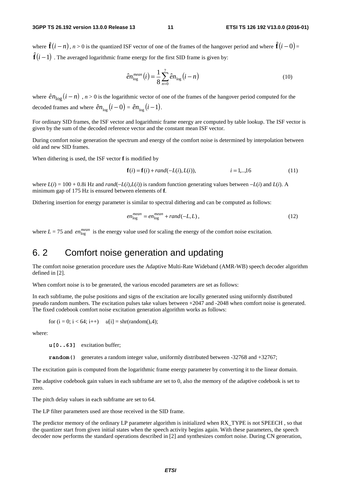where  $\hat{\mathbf{f}}(i-n)$ ,  $n > 0$  is the quantized ISF vector of one of the frames of the hangover period and where  $\hat{\mathbf{f}}(i-0)$  =  $\begin{pmatrix} 1 \\ 1 \end{pmatrix}$  $\hat{\mathbf{f}}(i-1)$  . The averaged logarithmic frame energy for the first SID frame is given by:

$$
\hat{e}n_{\text{log}}^{\text{mean}}(i) = \frac{1}{8} \sum_{n=0}^{7} \hat{e}n_{\text{log}}(i-n)
$$
\n(10)

where  $\hat{e}n_{\text{log}}(i - n)$ ,  $n > 0$  is the logarithmic vector of one of the frames of the hangover period computed for the decoded frames and where  $\hat{e}n_{\text{log}}(i - 0) = \hat{e}n_{\text{log}}(i - 1)$ .<br>For ordinary SID frames, the ISF v decoded frames and where  $\hat{e}n_{\text{log}}(i-0) = \hat{e}n_{\text{log}}(i-1)$ .

For ordinary SID frames, the ISF vector and logarithmic frame energy are computed by table lookup. The ISF vector is given by the sum of the decoded reference vector and the constant mean ISF vector.

During comfort noise generation the spectrum and energy of the comfort noise is determined by interpolation between old and new SID frames.

When dithering is used, the ISF vector **f** is modified by

$$
\mathbf{f}(i) = \mathbf{f}(i) + rand(-L(i), L(i)), \qquad i = 1,..,16 \tag{11}
$$

where  $L(i) = 100 + 0.8i$  Hz and  $rand(-L(i), L(i))$  is random function generating values between  $-L(i)$  and  $L(i)$ . A minimum gap of 175 Hz is ensured between elements of **f**.

Dithering insertion for energy parameter is similar to spectral dithering and can be computed as follows:

$$
en_{\log}^{mean} = en_{\log}^{mean} + rand(-L, L), \qquad (12)
$$

where  $L = 75$  and  $en_{\text{loc}}^{mean}$  is the energy value used for scaling the energy of the comfort noise excitation.

#### 6. 2 Comfort noise generation and updating

The comfort noise generation procedure uses the Adaptive Multi-Rate Wideband (AMR-WB) speech decoder algorithm defined in [2].

When comfort noise is to be generated, the various encoded parameters are set as follows:

In each subframe, the pulse positions and signs of the excitation are locally generated using uniformly distributed pseudo random numbers. The excitation pulses take values between +2047 and -2048 when comfort noise is generated. The fixed codebook comfort noise excitation generation algorithm works as follows:

for  $(i = 0; i < 64; i++)$   $u[i] = \text{shr}(\text{random}(), 4);$ 

where:

*u***[0..63]** excitation buffer;

**random**() generates a random integer value, uniformly distributed between -32768 and +32767;

The excitation gain is computed from the logarithmic frame energy parameter by converting it to the linear domain.

The adaptive codebook gain values in each subframe are set to 0, also the memory of the adaptive codebook is set to zero.

The pitch delay values in each subframe are set to 64.

The LP filter parameters used are those received in the SID frame.

The predictor memory of the ordinary LP parameter algorithm is initialized when RX\_TYPE is not SPEECH , so that the quantizer start from given initial states when the speech activity begins again. With these parameters, the speech decoder now performs the standard operations described in [2] and synthesizes comfort noise. During CN generation,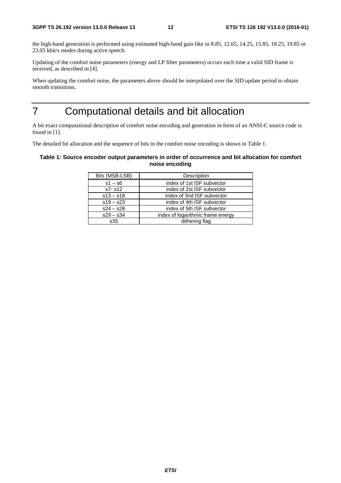the high-band generation is performed using estimated high-band gain like in 8.85, 12.65, 14.25, 15.85, 18.25, 19.85 or 23.05 kbit/s modes during active speech.

Updating of the comfort noise parameters (energy and LP filter parameters) occurs each time a valid SID frame is received, as described in [4].

When updating the comfort noise, the parameters above should be interpolated over the SID update period to obtain smooth transitions.

# 7 Computational details and bit allocation

A bit exact computational description of comfort noise encoding and generation in form of an ANSI-C source code is found in [1].

The detailed bit allocation and the sequence of bits in the comfort noise encoding is shown in Table 1.

#### **Table 1: Source encoder output parameters in order of occurrence and bit allocation for comfort noise encoding**

| Bits (MSB-LSB) | Description                       |
|----------------|-----------------------------------|
| $s1 - s6$      | index of 1st ISF subvector        |
| $s7 - s12$     | index of 2st ISF subvector        |
| $s13 - s18$    | index of 3nd ISF subvector        |
| $s19 - s23$    | index of 4th ISF subvector        |
| $s24 - s28$    | index of 5th ISF subvector        |
| $s29 - s34$    | index of logarithmic frame energy |
| s35            | dithering flag                    |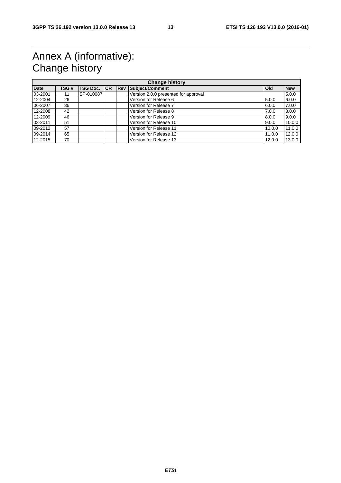# Annex A (informative): Change history

| <b>Change history</b> |      |                     |  |             |                                      |            |            |
|-----------------------|------|---------------------|--|-------------|--------------------------------------|------------|------------|
| <b>Date</b>           | TSG# | <b>TSG Doc. ICR</b> |  | <b>IRev</b> | Subject/Comment                      | <b>Old</b> | <b>New</b> |
| 03-2001               | 11   | SP-010087           |  |             | Version 2.0.0 presented for approval |            | 5.0.0      |
| 12-2004               | 26   |                     |  |             | Version for Release 6                | 5.0.0      | 6.0.0      |
| 06-2007               | 36   |                     |  |             | Version for Release 7                | 6.0.0      | 7.0.0      |
| 12-2008               | 42   |                     |  |             | Version for Release 8                | 7.0.0      | 8.0.0      |
| 12-2009               | 46   |                     |  |             | Version for Release 9                | 8.0.0      | 9.0.0      |
| 03-2011               | 51   |                     |  |             | Version for Release 10               | 9.0.0      | 10.0.0     |
| 09-2012               | 57   |                     |  |             | Version for Release 11               | 10.0.0     | 11.0.0     |
| 09-2014               | 65   |                     |  |             | Version for Release 12               | 11.0.0     | 12.0.0     |
| 12-2015               | 70   |                     |  |             | Version for Release 13               | 12.0.0     | 13.0.0     |